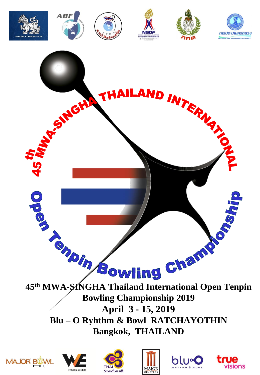











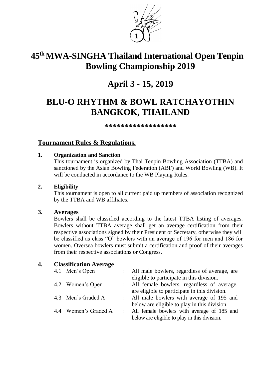

# **45 thMWA-SINGHA Thailand International Open Tenpin Bowling Championship 2019**

# **April 3 - 15, 2019**

# **BLU-O RHYTHM & BOWL RATCHAYOTHIN BANGKOK, THAILAND**

**\*\*\*\*\*\*\*\*\*\*\*\*\*\*\*\*\*\***

## **Tournament Rules & Regulations.**

#### **1. Organization and Sanction**

This tournament is organized by Thai Tenpin Bowling Association (TTBA) and sanctioned by the Asian Bowling Federation (ABF) and World Bowling (WB). It will be conducted in accordance to the WB Playing Rules.

#### **2. Eligibility**

This tournament is open to all current paid up members of association recognized by the TTBA and WB affiliates.

### **3. Averages**

Bowlers shall be classified according to the latest TTBA listing of averages. Bowlers without TTBA average shall get an average certification from their respective associations signed by their President or Secretary, otherwise they will be classified as class "O" bowlers with an average of 196 for men and 186 for women. Oversea bowlers must submit a certification and proof of their averages from their respective associations or Congress.

### **4. Classification Average**

| 4.1 Men's Open       | : All male bowlers, regardless of average, are |
|----------------------|------------------------------------------------|
|                      | eligible to participate in this division.      |
| 4.2 Women's Open     | : All female bowlers, regardless of average,   |
|                      | are eligible to participate in this division.  |
| 4.3 Men's Graded A   | : All male bowlers with average of 195 and     |
|                      | below are eligible to play in this division.   |
| 4.4 Women's Graded A | All female bowlers with average of 185 and     |
|                      | below are eligible to play in this division.   |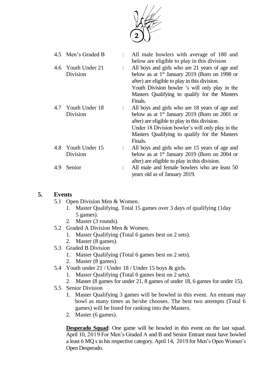

| 4.5 Men's Graded B |                           | All male bowlers with average of 180 and                                                         |
|--------------------|---------------------------|--------------------------------------------------------------------------------------------------|
| 4.6 Youth Under 21 |                           | below are eligible to play in this division<br>All boys and girls who are 21 years of age and    |
|                    |                           | below as at $1st$ January 2019 (Born on 1998 or<br>after) are eligible to play in this division. |
|                    |                           | Youth Division bowler 's will only play in the                                                   |
|                    |                           | Masters Qualifying to qualify for the Masters                                                    |
|                    |                           | Finals.                                                                                          |
| 4.7 Youth Under 18 |                           | All boys and girls who are 18 years of age and                                                   |
| Division           |                           | below as at $1st$ January 2019 (Born on 2001 or<br>after) are eligible to play in this division. |
|                    |                           | Under 18 Division bowler's will only play in the                                                 |
|                    |                           | Masters Qualifying to qualify for the Masters                                                    |
|                    |                           | Finals.                                                                                          |
| Youth Under 15     | $\mathbb{R}^{\mathbb{Z}}$ | All boys and girls who are 15 years of age and                                                   |
| Division           |                           | below as at $1st$ January 2019 (Born on 2004 or<br>after) are eligible to play in this division. |
| Senior             | $\ddot{\phantom{0}}$      | All male and female bowlers who are least 50<br>years old as of January 2019.                    |
|                    | Division                  |                                                                                                  |

## **5. Events**

- 5.1 Open Division Men & Women.
	- 1. Master Qualifying. Total 15 games over 3 days of qualifying (1day 5 games).
	- 2. Master (3 rounds).
- 5.2 Graded A Division Men & Women.
	- 1. Master Qualifying (Total 6 games best on 2 sets).
	- 2. Master (8 games).
- 5.3 Graded B Division
	- 1. Master Qualifying (Total 6 games best on 2 sets).
	- 2. Master (8 games).
- 5.4 Youth under 21 / Under 18 / Under 15 boys & girls.
	- 1. Master Qualifying (Total 6 games best on 2 sets).
	- 2. Master (8 games for under 21, 8 games of under 18, 6 games for under 15).
- 5.5 Senior Division
	- 1. Master Qualifying 3 games will be bowled in this event. An entrant may bowl as many times as he/she chooses. The best two attempts (Total 6 games) will be listed for ranking into the Masters.
	- 2. Master (6 games).

**Desperado Squad**: One game will be bowled in this event on the last squad. April 10, 2019 For Men's Graded A and B and Senior Entrant must have bowled a least 6 MQ s in his respective category. April 14, 2019 for Men's Open Women's Open Desperado.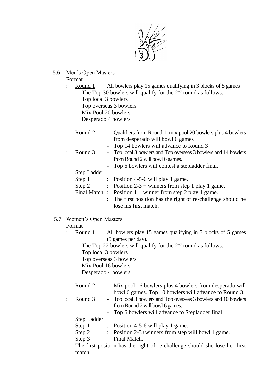

- 5.6 Men's Open Masters Format
	- : Round 1 All bowlers play 15 games qualifying in 3 blocks of 5 games
		- : The Top 30 bowlers will qualify for the 2<sup>nd</sup> round as follows.
			- : Top local 3 bowlers
		- : Top overseas 3 bowlers
		- : Mix Pool 20 bowlers
		- : Desperado 4 bowlers

| Round 2            | - Qualifiers from Round 1, mix pool 20 bowlers plus 4 bowlers   |
|--------------------|-----------------------------------------------------------------|
|                    | from desperado will bowl 6 games                                |
|                    | - Top 14 bowlers will advance to Round 3                        |
| Round 3            | - Top local 3 bowlers and Top overseas 3 bowlers and 14 bowlers |
|                    | from Round 2 will bowl 6 games.                                 |
|                    | - Top 6 bowlers will contest a stepladder final.                |
| <b>Step Ladder</b> |                                                                 |
| Step 1             | : Position 4-5-6 will play 1 game.                              |
| Step 2             | : Position $2-3$ + winners from step 1 play 1 game.             |
|                    | Final Match : Position $1 +$ winner from step 2 play 1 game.    |
|                    | : The first position has the right of re-challenge should he    |
|                    | lose his first match.                                           |

## 5.7 Women's Open Masters

### Format

- : Round 1 All bowlers play 15 games qualifying in 3 blocks of 5 games (5 games per day).
	- : The Top 22 bowlers will qualify for the  $2<sup>nd</sup>$  round as follows.
	- : Top local 3 bowlers
	- : Top overseas 3 bowlers
	- : Mix Pool 16 bowlers
	- : Desperado 4 bowlers
- : Round 2 Mix pool 16 bowlers plus 4 bowlers from desperado will bowl 6 games. Top 10 bowlers will advance to Round 3.
- : Round 3 Top local 3 bowlers and Top overseas 3 bowlers and 10 bowlers from Round 2 will bowl 6 games.

- Top 6 bowlers will advance to Stepladder final.

Step Ladder

| Step 1<br>Position 4-5-6 will play 1 game. |  |
|--------------------------------------------|--|
|--------------------------------------------|--|

- Step 2 : Position 2-3+winners from step will bowl 1 game.
- Step 3 Final Match.
- : The first position has the right of re-challenge should she lose her first match.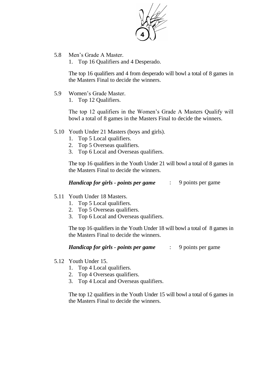

- 5.8 Men's Grade A Master.
	- 1. Top 16 Qualifiers and 4 Desperado.

The top 16 qualifiers and 4 from desperado will bowl a total of 8 games in the Masters Final to decide the winners.

- 5.9 Women's Grade Master.
	- 1. Top 12 Qualifiers.

The top 12 qualifiers in the Women's Grade A Masters Qualify will bowl a total of 8 games in the Masters Final to decide the winners.

- 5.10 Youth Under 21 Masters (boys and girls).
	- 1. Top 5 Local qualifiers.
	- 2. Top 5 Overseas qualifiers.
	- 3. Top 6 Local and Overseas qualifiers.

The top 16 qualifiers in the Youth Under 21 will bowl a total of 8 games in the Masters Final to decide the winners.

| <b>Handicap for girls - points per game</b> |  | 9 points per game |
|---------------------------------------------|--|-------------------|
|---------------------------------------------|--|-------------------|

- 5.11 Youth Under 18 Masters.
	- 1. Top 5 Local qualifiers.
	- 2. Top 5 Overseas qualifiers.
	- 3. Top 6 Local and Overseas qualifiers.

The top 16 qualifiers in the Youth Under 18 will bowl a total of 8 games in the Masters Final to decide the winners.

*Handicap for girls - points per game* : 9 points per game

- 5.12 Youth Under 15.
	- 1. Top 4 Local qualifiers.
	- 2. Top 4 Overseas qualifiers.
	- 3. Top 4 Local and Overseas qualifiers.

The top 12 qualifiers in the Youth Under 15 will bowl a total of 6 games in the Masters Final to decide the winners.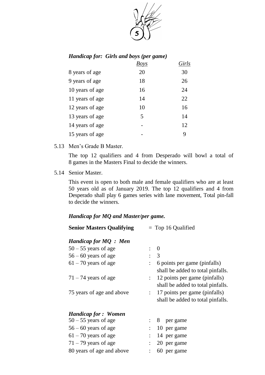

## *Handicap for: Girls and boys (per game)*

|                 | Boys | Girls |
|-----------------|------|-------|
| 8 years of age  | 20   | 30    |
| 9 years of age  | 18   | 26    |
| 10 years of age | 16   | 24    |
| 11 years of age | 14   | 22    |
| 12 years of age | 10   | 16    |
| 13 years of age | 5    | 14    |
| 14 years of age |      | 12    |
| 15 years of age |      | 9     |

5.13 Men's Grade B Master.

The top 12 qualifiers and 4 from Desperado will bowl a total of 8 games in the Masters Final to decide the winners.

5.14 Senior Master.

This event is open to both male and female qualifiers who are at least 50 years old as of January 2019. The top 12 qualifiers and 4 from Desperado shall play 6 games series with lane movement, Total pin-fall to decide the winners.

### *Handicap for MQ and Master/per game.*

| <b>Senior Masters Qualifying</b> | $=$ Top 16 Qualified      |                                                                    |  |  |  |  |
|----------------------------------|---------------------------|--------------------------------------------------------------------|--|--|--|--|
| <b>Handicap for MQ : Men</b>     |                           |                                                                    |  |  |  |  |
| $50 - 55$ years of age           |                           | $\overline{\phantom{0}}$                                           |  |  |  |  |
| $56 - 60$ years of age           |                           | $\therefore$ 3                                                     |  |  |  |  |
| $61 - 70$ years of age           |                           | 6 points per game (pinfalls)<br>shall be added to total pinfalls.  |  |  |  |  |
| $71 - 74$ years of age           | $\mathbb{R}^{\mathbb{Z}}$ | 12 points per game (pinfalls)<br>shall be added to total pinfalls. |  |  |  |  |
| 75 years of age and above        | $\mathbb{R}^{\mathbb{Z}}$ | 17 points per game (pinfalls)<br>shall be added to total pinfalls. |  |  |  |  |
| <b>Handicap for : Women</b>      |                           |                                                                    |  |  |  |  |
| $50 - 55$ years of age           |                           | $\approx 8$ per game                                               |  |  |  |  |
| $56 - 60$ years of age           |                           | 10 per game                                                        |  |  |  |  |
| $61 - 70$ years of age           | $\mathbb{R}^{\mathbb{Z}}$ | 14 per game                                                        |  |  |  |  |
| $71 - 79$ years of age           | $\mathbb{R}^{\mathbb{Z}}$ | 20 per game                                                        |  |  |  |  |
| 80 years of age and above        |                           | 60 per game                                                        |  |  |  |  |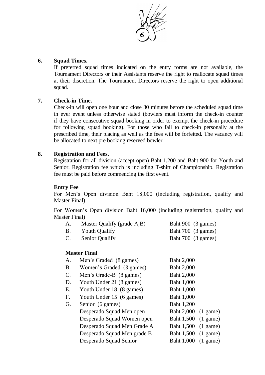

### **6. Squad Times.**

If preferred squad times indicated on the entry forms are not available, the Tournament Directors or their Assistants reserve the right to reallocate squad times at their discretion. The Tournament Directors reserve the right to open additional squad.

## **7. Check-in Time.**

Check-in will open one hour and close 30 minutes before the scheduled squad time in ever event unless otherwise stated (bowlers must inform the check-in counter if they have consecutive squad booking in order to exempt the check-in procedure for following squad booking). For those who fail to check-in personally at the prescribed time, their placing as well as the fees will be forfeited. The vacancy will be allocated to next pre booking reserved bowler.

### **8. Registration and Fees.**

Registration for all division (accept open) Baht 1,200 and Baht 900 for Youth and Senior. Registration fee which is including T-shirt of Championship. Registration fee must be paid before commencing the first event.

### **Entry Fee**

For Men's Open division Baht 18,000 (including registration, qualify and Master Final)

For Women's Open division Baht 16,000 (including registration, qualify and Master Final)

| A. | Master Qualify (grade A,B) | Baht 900 (3 games) |
|----|----------------------------|--------------------|
|    | B. Youth Qualify           | Baht 700 (3 games) |
| C. | <b>Senior Qualify</b>      | Baht 700 (3 games) |

### **Master Final**

| A.        | Men's Graded (8 games)      | <b>Baht 2,000</b>   |                    |
|-----------|-----------------------------|---------------------|--------------------|
| <b>B.</b> | Women's Graded (8 games)    | <b>Baht 2,000</b>   |                    |
| C.        | Men's Grade-B (8 games)     | <b>Baht 2,000</b>   |                    |
| D.        | Youth Under 21 (8 games)    | Baht 1,000          |                    |
| Ε.        | Youth Under 18 (8 games)    | <b>Baht 1,000</b>   |                    |
| F.        | Youth Under 15 (6 games)    | <b>Baht 1,000</b>   |                    |
| G.        | Senior (6 games)            | Baht 1,200          |                    |
|           | Desperado Squad Men open    | Baht 2,000 (1 game) |                    |
|           | Desperado Squad Women open  | Baht 1,500          | $(1 \text{ game})$ |
|           | Desperado Squad Men Grade A | Baht 1,500          | $(1 \text{ game})$ |
|           | Desperado Squad Men grade B | <b>Baht 1,500</b>   | $(1 \text{ game})$ |
|           | Desperado Squad Senior      | <b>Baht 1,000</b>   | $(1 \text{ game})$ |
|           |                             |                     |                    |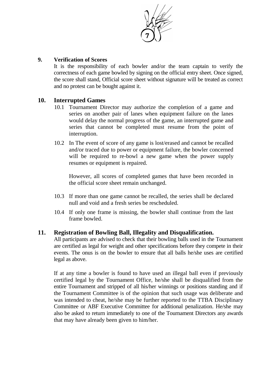

### **9. Verification of Scores**

It is the responsibility of each bowler and/or the team captain to verify the correctness of each game bowled by signing on the official entry sheet. Once signed, the score shall stand, Official score sheet without signature will be treated as correct and no protest can be bought against it.

## **10. Interrupted Games**

- 10.1 Tournament Director may authorize the completion of a game and series on another pair of lanes when equipment failure on the lanes would delay the normal progress of the game, an interrupted game and series that cannot be completed must resume from the point of interruption.
- 10.2 In The event of score of any game is lost/erased and cannot be recalled and/or traced due to power or equipment failure, the bowler concerned will be required to re-bowl a new game when the power supply resumes or equipment is repaired.

However, all scores of completed games that have been recorded in the official score sheet remain unchanged.

- 10.3 If more than one game cannot be recalled, the series shall be declared null and void and a fresh series be rescheduled.
- 10.4 If only one frame is missing, the bowler shall continue from the last frame bowled.

### **11. Registration of Bowling Ball, Illegality and Disqualification.**

All participants are advised to check that their bowling balls used in the Tournament are certified as legal for weight and other specifications before they compete in their events. The onus is on the bowler to ensure that all balls he/she uses are certified legal as above.

If at any time a bowler is found to have used an illegal ball even if previously certified legal by the Tournament Office, he/she shall be disqualified from the entire Tournament and stripped of all his/her winnings or positions standing and if the Tournament Committee is of the opinion that such usage was deliberate and was intended to cheat, he/she may be further reported to the TTBA Disciplinary Committee or ABF Executive Committee for additional penalization. He/she may also be asked to return immediately to one of the Tournament Directors any awards that may have already been given to him/her.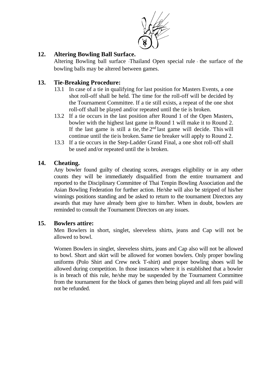

## **12. Altering Bowling Ball Surface.**

Altering Bowling ball surface -Thailand Open special rule - the surface of the bowling balls may be altered between games.

## **13. Tie-Breaking Procedure:**

- 13.1 In case of a tie in qualifying for last position for Masters Events, a one shot roll-off shall be held. The time for the roll-off will be decided by the Tournament Committee. If a tie still exists, a repeat of the one shot roll-off shall be played and/or repeated until the tie is broken.
- 13.2 If a tie occurs in the last position after Round 1 of the Open Masters, bowler with the highest last game in Round 1 will make it to Round 2. If the last game is still a tie, the  $2<sup>nd</sup>$  last game will decide. This will continue until the tieis broken.Same tie breaker will apply to Round 2.
- 13.3 If a tie occurs in the Step-Ladder Grand Final, a one shot roll-off shall be used and/or repeated until the is broken.

## **14. Cheating.**

Any bowler found guilty of cheating scores, averages eligibility or in any other counts they will be immediately disqualified from the entire tournament and reported to the Disciplinary Committee of Thai Tenpin Bowling Association and the Asian Bowling Federation for further action. He/she will also be stripped of his/her winnings positions standing and be asked to return to the tournament Directors any awards that may have already been give to him/her. When in doubt, bowlers are reminded to consult the Tournament Directors on any issues.

### **15. Bowlers attire:**

Men Bowlers in short, singlet, sleeveless shirts, jeans and Cap will not be allowed to bowl.

Women Bowlers in singlet, sleeveless shirts, jeans and Cap also will not be allowed to bowl. Short and skirt will be allowed for women bowlers. Only proper bowling uniforms (Polo Shirt and Crew neck T-shirt) and proper bowling shoes will be allowed during competition. In those instances where it is established that a bowler is in breach of this rule, he/she may be suspended by the Tournament Committee from the tournament for the block of games then being played and all fees paid will not be refunded.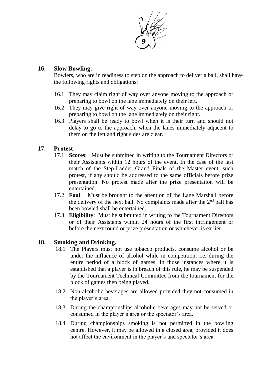

## **16. Slow Bowling.**

Bowlers, who are in readiness to step on the approach to deliver a ball, shall have the following rights and obligations:

- 16.1 They may claim right of way over anyone moving to the approach or preparing to bowl on the lane immediately on their left.
- 16.2 They may give right of way over anyone moving to the approach or preparing to bowl on the lane immediately on their right.
- 16.3 Players shall be ready to bowl when it is their turn and should not delay to go to the approach, when the lanes immediately adjacent to them on the left and right sides are clear.

## **17. Protest:**

- 17.1 **Scores**: Must be submitted in writing to the Tournament Directors or their Assistants within 12 hours of the event. In the case of the last match of the Step-Ladder Grand Finals of the Master event, such protest, if any should be addressed to the same officials before prize presentation. No protest made after the prize presentation will be entertained.
- 17.2 **Foul**: Must be brought to the attention of the Lane Marshall before the delivery of the next ball. No complaints made after the  $2<sup>nd</sup>$  ball has been bowled shall be entertained.
- 17.3 **Eligibility**: Must be submitted in writing to the Tournament Directors or of their Assistants within 24 hours of the first infringement or before the next round or prize presentation or whichever is earlier.

## **18. Smoking and Drinking.**

- 18.1 The Players must not use tobacco products, consume alcohol or be under the influence of alcohol while in competition; i.e. during the entire period of a block of games. In those instances where it is established that a player is in breach of this rule, he may be suspended by the Tournament Technical Committee from the tournament for the block of games then being played.
- 18.2 Non-alcoholic beverages are allowed provided they not consumed in the player's area.
- 18.3 During the championships alcoholic beverages may not be served or consumed in the player's area or the spectator's area.
- 18.4 During championships smoking is not permitted in the bowling centre. However, it may be allowed in a closed area, provided it does not affect the environment in the player's and spectator's area.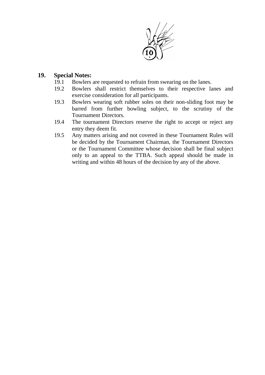

## **19. Special Notes:**

- 19.1 Bowlers are requested to refrain from swearing on the lanes.
- 19.2 Bowlers shall restrict themselves to their respective lanes and exercise consideration for all participants.
- 19.3 Bowlers wearing soft rubber soles on their non-sliding foot may be barred from further bowling subject, to the scrutiny of the Tournament Directors.
- 19.4 The tournament Directors reserve the right to accept or reject any entry they deem fit.
- 19.5 Any matters arising and not covered in these Tournament Rules will be decided by the Tournament Chairman, the Tournament Directors or the Tournament Committee whose decision shall be final subject only to an appeal to the TTBA. Such appeal should be made in writing and within 48 hours of the decision by any of the above.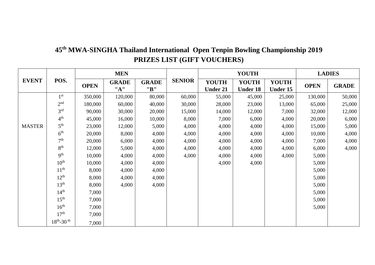|               |                             |             | <b>MEN</b>          |                     |               |                                 | <b>YOUTH</b>                    | <b>LADIES</b>                   |             |              |
|---------------|-----------------------------|-------------|---------------------|---------------------|---------------|---------------------------------|---------------------------------|---------------------------------|-------------|--------------|
| <b>EVENT</b>  | POS.                        | <b>OPEN</b> | <b>GRADE</b><br>"A" | <b>GRADE</b><br>"B" | <b>SENIOR</b> | <b>YOUTH</b><br><b>Under 21</b> | <b>YOUTH</b><br><b>Under 18</b> | <b>YOUTH</b><br><b>Under 15</b> | <b>OPEN</b> | <b>GRADE</b> |
|               | 1 <sup>st</sup>             | 350,000     | 120,000             | 80,000              | 60,000        | 55,000                          | 45,000                          | 25,000                          | 130,000     | 50,000       |
|               | 2 <sup>nd</sup>             | 180,000     | 60,000              | 40,000              | 30,000        | 28,000                          | 23,000                          | 13,000                          | 65,000      | 25,000       |
|               | 3 <sup>rd</sup>             | 90,000      | 30,000              | 20,000              | 15,000        | 14,000                          | 12,000                          | 7,000                           | 32,000      | 12,000       |
|               | 4 <sup>th</sup>             | 45,000      | 16,000              | 10,000              | 8,000         | 7,000                           | 6,000                           | 4,000                           | 20,000      | 6,000        |
| <b>MASTER</b> | 5 <sup>th</sup>             | 23,000      | 12,000              | 5,000               | 4,000         | 4,000                           | 4,000                           | 4,000                           | 15,000      | 5,000        |
|               | 6 <sup>th</sup>             | 20,000      | 8,000               | 4,000               | 4,000         | 4,000                           | 4,000                           | 4,000                           | 10,000      | 4,000        |
|               | 7 <sup>th</sup>             | 20,000      | 6,000               | 4,000               | 4,000         | 4,000                           | 4,000                           | 4,000                           | 7,000       | 4,000        |
|               | 8 <sup>th</sup>             | 12,000      | 5,000               | 4,000               | 4,000         | 4,000                           | 4,000                           | 4,000                           | 6,000       | 4,000        |
|               | <b>9th</b>                  | 10,000      | 4,000               | 4,000               | 4,000         | 4,000                           | 4,000                           | 4,000                           | 5,000       |              |
|               | 10 <sup>th</sup>            | 10,000      | 4,000               | 4,000               |               | 4,000                           | 4,000                           |                                 | 5,000       |              |
|               | 11 <sup>th</sup>            | 8,000       | 4,000               | 4,000               |               |                                 |                                 |                                 | 5,000       |              |
|               | $12^{th}$                   | 8,000       | 4,000               | 4,000               |               |                                 |                                 |                                 | 5,000       |              |
|               | 13 <sup>th</sup>            | 8,000       | 4,000               | 4,000               |               |                                 |                                 |                                 | 5,000       |              |
|               | 14 <sup>th</sup>            | 7,000       |                     |                     |               |                                 |                                 |                                 | 5,000       |              |
|               | $15^{\text{th}}$            | 7,000       |                     |                     |               |                                 |                                 |                                 | 5,000       |              |
|               | 16 <sup>th</sup>            | 7,000       |                     |                     |               |                                 |                                 |                                 | 5,000       |              |
|               | 17 <sup>th</sup>            | 7,000       |                     |                     |               |                                 |                                 |                                 |             |              |
|               | $18^{th}$ -30 <sup>th</sup> | 7,000       |                     |                     |               |                                 |                                 |                                 |             |              |

## **45 th MWA-SINGHA Thailand International Open Tenpin Bowling Championship 2019 PRIZES LIST (GIFT VOUCHERS)**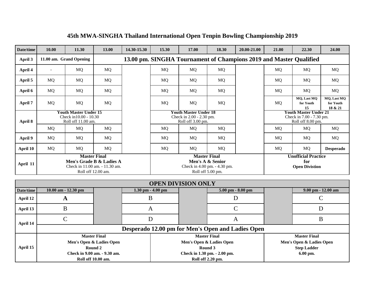| Date/time | 10.00                                                                                                   | 11.30                   | 13.00                                                              | 14.30-15.30 | 15.30                                                                                        | 17.00                                                                         | 18.30 | 20.00-21.00 | 21.00                                                                         | 22.30                          | 24.00                               |
|-----------|---------------------------------------------------------------------------------------------------------|-------------------------|--------------------------------------------------------------------|-------------|----------------------------------------------------------------------------------------------|-------------------------------------------------------------------------------|-------|-------------|-------------------------------------------------------------------------------|--------------------------------|-------------------------------------|
| April 3   |                                                                                                         | 11.00 am. Grand Opening | 13.00 pm. SINGHA Tournament of Champions 2019 and Master Qualified |             |                                                                                              |                                                                               |       |             |                                                                               |                                |                                     |
| April 4   |                                                                                                         | MQ                      | MQ                                                                 |             | MQ                                                                                           | MQ                                                                            | MQ    |             | MQ                                                                            | MQ.                            | MQ                                  |
| April 5   | MQ                                                                                                      | MQ                      | MQ                                                                 |             | MQ                                                                                           | MQ                                                                            | MQ    |             | MQ.                                                                           | MQ                             | MQ                                  |
| April 6   | MQ                                                                                                      | MQ                      | MQ                                                                 |             | MQ                                                                                           | MQ                                                                            | MQ    |             | MQ                                                                            | MQ.                            | MQ                                  |
| April 7   | MQ                                                                                                      | MQ                      | MQ                                                                 |             | MQ                                                                                           | MQ                                                                            | MQ    |             | MQ                                                                            | MQ, Last MQ<br>for Youth<br>15 | MQ, Last MQ<br>for Youth<br>18 & 21 |
| April 8   | <b>Youth Master Under 15</b><br>Check in 10.00 - 10.30<br>Roll off 11.00 am.                            |                         |                                                                    |             |                                                                                              | <b>Youth Master Under 18</b><br>Check in 2.00 - 2.30 pm.<br>Roll off 3.00 pm. |       |             | <b>Youth Master Under 21</b><br>Check in 7.00 - 7.30 pm.<br>Roll off 8.00 pm. |                                |                                     |
|           | MQ                                                                                                      | MQ                      | MQ                                                                 |             | MQ                                                                                           | MQ                                                                            | MQ    |             | MQ.                                                                           | MQ                             | MQ                                  |
| April 9   | MQ                                                                                                      | MQ                      | MQ                                                                 |             | MQ                                                                                           | MQ                                                                            | MQ    |             | MQ.                                                                           | MQ                             | MQ                                  |
| April 10  | MQ                                                                                                      | MQ                      | MQ                                                                 |             | MQ                                                                                           | MQ                                                                            | MQ    |             | MQ                                                                            | MQ                             | Desperado                           |
| April 11  | <b>Master Final</b><br>Men's Grade B & Ladies A<br>Check in 11.00 am. - 11.30 am.<br>Roll off 12.00 am. |                         |                                                                    |             | <b>Master Final</b><br>Men's A & Senior<br>Check in 4.00 pm. - 4.30 pm.<br>Roll off 5.00 pm. |                                                                               |       |             | <b>Unofficial Practice</b><br>for<br><b>Open Divistion</b>                    |                                |                                     |

## **45th MWA-SINGHA Thailand International Open Tenpin Bowling Championship 2019**

| <b>OPEN DIVISION ONLY</b> |                                                   |         |                          |                              |                   |                          |                                      |  |
|---------------------------|---------------------------------------------------|---------|--------------------------|------------------------------|-------------------|--------------------------|--------------------------------------|--|
| Date/time                 | 10.00 am - 12.30 pm                               |         | $1.30$ pm $- 4.00$ pm    |                              | 5.00 pm - 8.00 pm |                          | $9.00 \text{ pm} - 12.00 \text{ am}$ |  |
| April 12                  | Ħ                                                 |         | В                        |                              |                   |                          |                                      |  |
| April 13                  |                                                   |         | A                        |                              |                   |                          |                                      |  |
|                           |                                                   |         |                          |                              |                   |                          | В                                    |  |
| April 14                  | Desperado 12.00 pm for Men's Open and Ladies Open |         |                          |                              |                   |                          |                                      |  |
|                           | <b>Master Final</b>                               |         | <b>Master Final</b>      |                              |                   | <b>Master Final</b>      |                                      |  |
|                           | Men's Open & Ladies Open                          |         | Men's Open & Ladies Open |                              |                   | Men's Open & Ladies Open |                                      |  |
| April 15                  |                                                   | Round 2 |                          | Round 3                      |                   |                          | <b>Step Ladder</b>                   |  |
|                           | Check in 9.00 am. - 9.30 am.                      |         |                          | Check in 1.30 pm. - 2.00 pm. |                   |                          | $6.00$ pm.                           |  |
|                           | <b>Roll off 10.00 am.</b>                         |         | Roll off 2.20 pm.        |                              |                   |                          |                                      |  |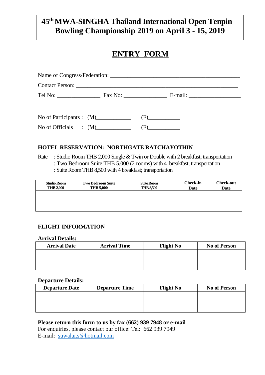## **45 thMWA-SINGHA Thailand International Open Tenpin Bowling Championship 2019 on April 3 - 15, 2019**

## **ENTRY FORM**

## **HOTEL RESERVATION: NORTHGATE RATCHAYOTHIN**

No of Officials :  $(M)$  (F)

Rate : Studio Room THB 2,000 Single & Twin or Double with 2 breakfast; transportation : Two Bedroom Suite THB 5,000 (2 rooms) with 4 breakfast; transportation : Suite Room THB 8,500 with 4 breakfast; transportation

| Studio Room<br><b>THB 2,000</b> | <b>Two Bedroom Suite</b><br><b>THB 5,000</b> | Suite Room<br><b>THB 8.500</b> | <b>Check-in</b><br>Date | <b>Check-out</b><br>Date |
|---------------------------------|----------------------------------------------|--------------------------------|-------------------------|--------------------------|
|                                 |                                              |                                |                         |                          |
|                                 |                                              |                                |                         |                          |

### **FLIGHT INFORMATION**

#### **Arrival Details:**

| <b>Arrival Date</b> | <b>Arrival Time</b> | <b>Flight No</b> | <b>No of Person</b> |
|---------------------|---------------------|------------------|---------------------|
|                     |                     |                  |                     |
|                     |                     |                  |                     |

#### **Departure Details:**

| <b>Departure Date</b> | <b>Departure Time</b> | <b>Flight No</b> | <b>No of Person</b> |
|-----------------------|-----------------------|------------------|---------------------|
|                       |                       |                  |                     |
|                       |                       |                  |                     |

#### **Please return this form to us by fax (662) 939 7948 or e-mail**

For enquiries, please contact our office: Tel: 662 939 7949 E-mail: [suwalai.s@hotmail.com](mailto:suwalai.s@hotmail.com)